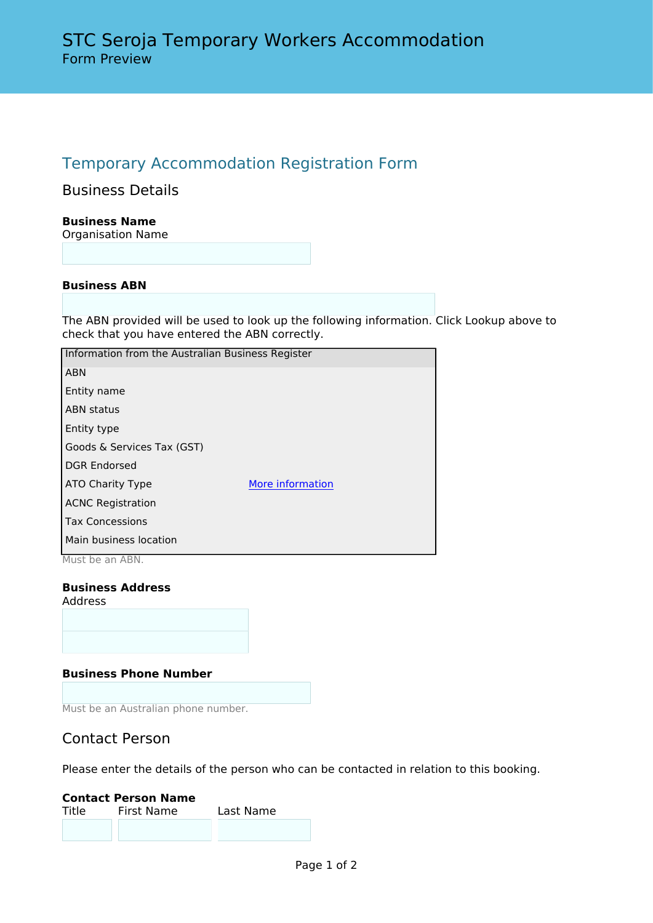# Temporary Accommodation Registration Form

Business Details

**Business Name** Organisation Name

### **Business ABN**

The ABN provided will be used to look up the following information. Click Lookup above to check that you have entered the ABN correctly.

| Information from the Australian Business Register |                  |  |
|---------------------------------------------------|------------------|--|
| <b>ABN</b>                                        |                  |  |
| Entity name                                       |                  |  |
| <b>ABN</b> status                                 |                  |  |
| Entity type                                       |                  |  |
| Goods & Services Tax (GST)                        |                  |  |
| <b>DGR Endorsed</b>                               |                  |  |
| ATO Charity Type                                  | More information |  |
| <b>ACNC Registration</b>                          |                  |  |
| <b>Tax Concessions</b>                            |                  |  |
| Main business location                            |                  |  |
| Must be an ABN.                                   |                  |  |

#### **Business Address** Address

#### **Business Phone Number**

Must be an Australian phone number.

# Contact Person

Please enter the details of the person who can be contacted in relation to this booking.

# **Contact Person Name** First Name Last Name